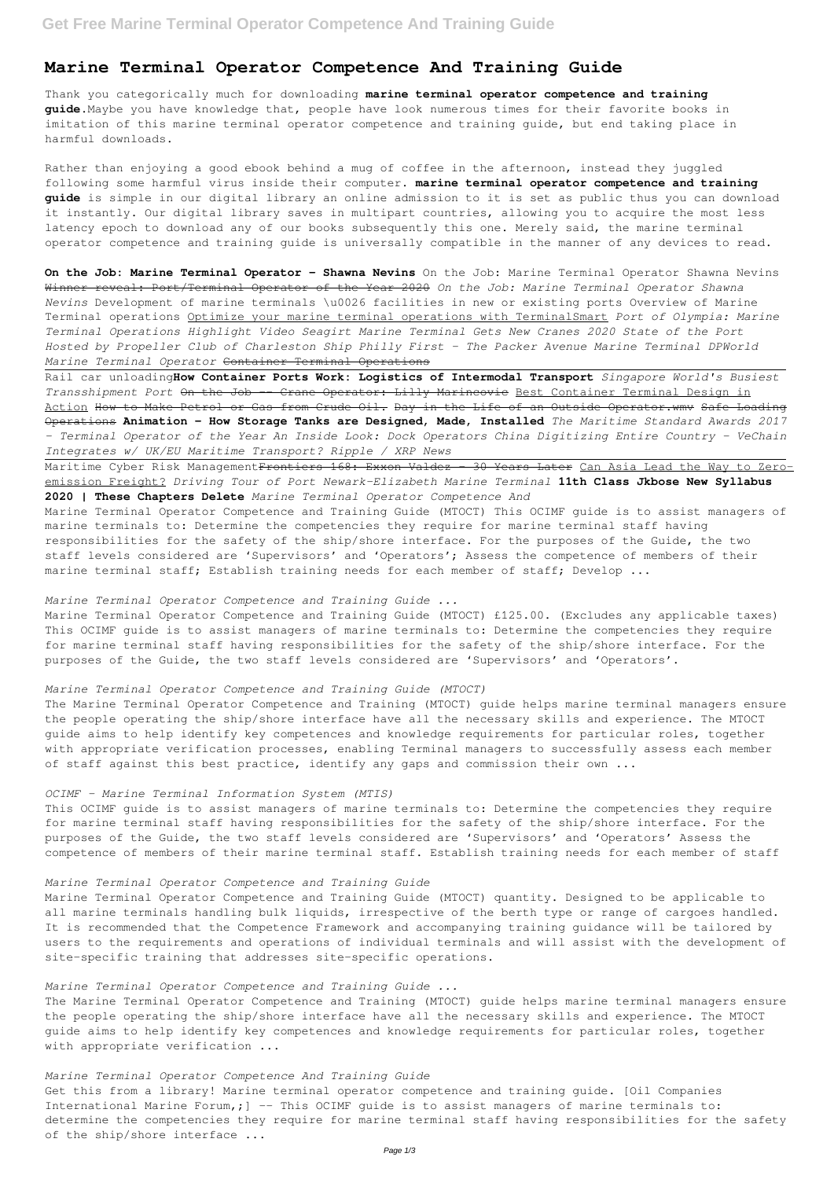# **Marine Terminal Operator Competence And Training Guide**

Thank you categorically much for downloading **marine terminal operator competence and training guide**.Maybe you have knowledge that, people have look numerous times for their favorite books in imitation of this marine terminal operator competence and training guide, but end taking place in harmful downloads.

Rather than enjoying a good ebook behind a mug of coffee in the afternoon, instead they juggled following some harmful virus inside their computer. **marine terminal operator competence and training guide** is simple in our digital library an online admission to it is set as public thus you can download it instantly. Our digital library saves in multipart countries, allowing you to acquire the most less latency epoch to download any of our books subsequently this one. Merely said, the marine terminal operator competence and training guide is universally compatible in the manner of any devices to read.

On the Job: Marine Terminal Operator - Shawna Nevins On the Job: Marine Terminal Operator Shawna Nevins Winner reveal: Port/Terminal Operator of the Year 2020 *On the Job: Marine Terminal Operator Shawna Nevins* Development of marine terminals \u0026 facilities in new or existing ports Overview of Marine Terminal operations Optimize your marine terminal operations with TerminalSmart *Port of Olympia: Marine Terminal Operations Highlight Video Seagirt Marine Terminal Gets New Cranes 2020 State of the Port Hosted by Propeller Club of Charleston Ship Philly First - The Packer Avenue Marine Terminal DPWorld Marine Terminal Operator* Container Terminal Operations

Maritime Cyber Risk Management<del>Frontiers 168: Exxon Valdez - 30 Years Later</del> Can Asia Lead the Way to Zeroemission Freight? *Driving Tour of Port Newark–Elizabeth Marine Terminal* **11th Class Jkbose New Syllabus 2020 | These Chapters Delete** *Marine Terminal Operator Competence And*

Marine Terminal Operator Competence and Training Guide (MTOCT) This OCIMF guide is to assist managers of marine terminals to: Determine the competencies they require for marine terminal staff having responsibilities for the safety of the ship/shore interface. For the purposes of the Guide, the two staff levels considered are 'Supervisors' and 'Operators'; Assess the competence of members of their marine terminal staff; Establish training needs for each member of staff; Develop ...

Rail car unloading**How Container Ports Work: Logistics of Intermodal Transport** *Singapore World's Busiest Transshipment Port* On the Job -- Crane Operator: Lilly Marincovic Best Container Terminal Design in Action How to Make Petrol or Gas from Crude Oil. Day in the Life of an Outside Operator.wmv Safe Loading Operations **Animation - How Storage Tanks are Designed, Made, Installed** *The Maritime Standard Awards 2017 - Terminal Operator of the Year An Inside Look: Dock Operators China Digitizing Entire Country - VeChain Integrates w/ UK/EU Maritime Transport? Ripple / XRP News*

# *Marine Terminal Operator Competence and Training Guide ...*

Marine Terminal Operator Competence and Training Guide (MTOCT) £125.00. (Excludes any applicable taxes) This OCIMF guide is to assist managers of marine terminals to: Determine the competencies they require for marine terminal staff having responsibilities for the safety of the ship/shore interface. For the purposes of the Guide, the two staff levels considered are 'Supervisors' and 'Operators'.

# *Marine Terminal Operator Competence and Training Guide (MTOCT)*

The Marine Terminal Operator Competence and Training (MTOCT) guide helps marine terminal managers ensure the people operating the ship/shore interface have all the necessary skills and experience. The MTOCT guide aims to help identify key competences and knowledge requirements for particular roles, together with appropriate verification processes, enabling Terminal managers to successfully assess each member of staff against this best practice, identify any gaps and commission their own ...

## *OCIMF - Marine Terminal Information System (MTIS)*

This OCIMF guide is to assist managers of marine terminals to: Determine the competencies they require for marine terminal staff having responsibilities for the safety of the ship/shore interface. For the purposes of the Guide, the two staff levels considered are 'Supervisors' and 'Operators' Assess the competence of members of their marine terminal staff. Establish training needs for each member of staff

Marine Terminal Operator Competence and Training Guide (MTOCT) quantity. Designed to be applicable to all marine terminals handling bulk liquids, irrespective of the berth type or range of cargoes handled. It is recommended that the Competence Framework and accompanying training guidance will be tailored by users to the requirements and operations of individual terminals and will assist with the development of site-specific training that addresses site-specific operations.

*Marine Terminal Operator Competence and Training Guide ...*

The Marine Terminal Operator Competence and Training (MTOCT) guide helps marine terminal managers ensure the people operating the ship/shore interface have all the necessary skills and experience. The MTOCT guide aims to help identify key competences and knowledge requirements for particular roles, together with appropriate verification ...

*Marine Terminal Operator Competence And Training Guide* Get this from a library! Marine terminal operator competence and training guide. [Oil Companies International Marine Forum,; ] -- This OCIMF guide is to assist managers of marine terminals to: determine the competencies they require for marine terminal staff having responsibilities for the safety of the ship/shore interface ...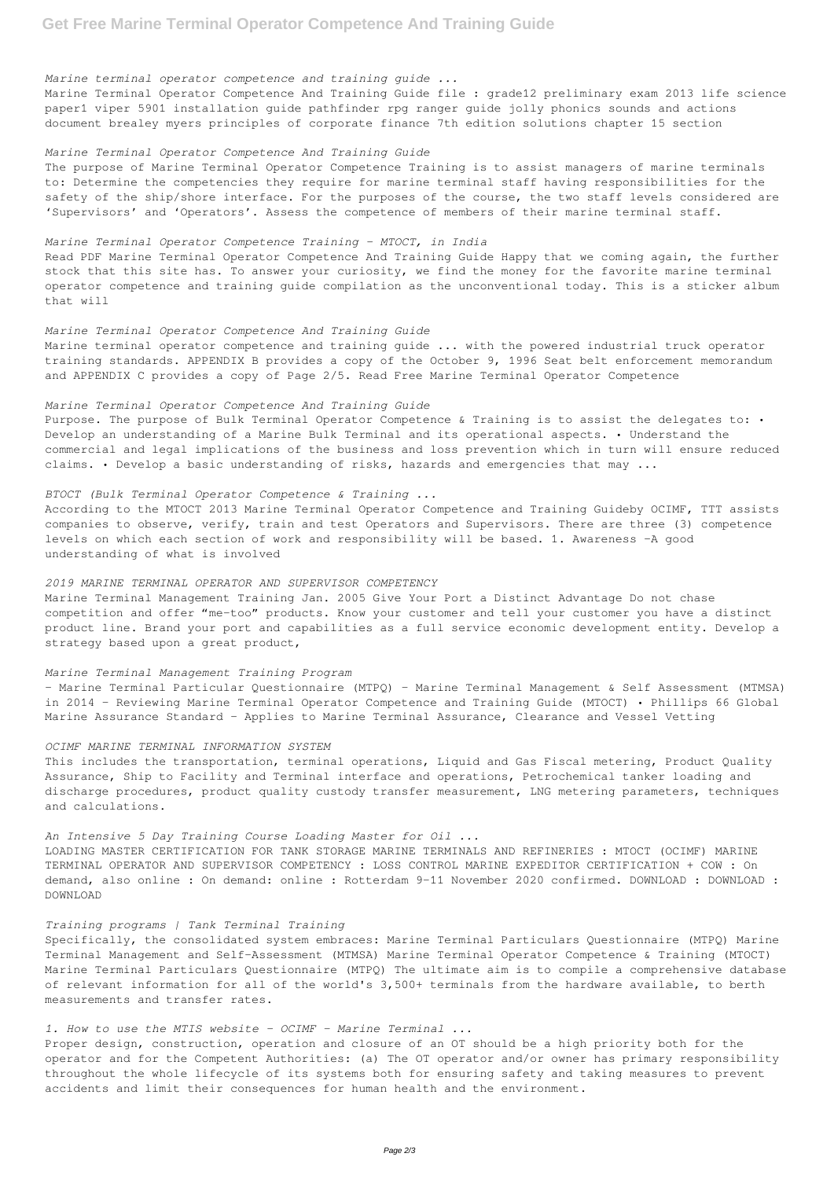*Marine terminal operator competence and training guide ...*

Marine Terminal Operator Competence And Training Guide file : grade12 preliminary exam 2013 life science paper1 viper 5901 installation guide pathfinder rpg ranger guide jolly phonics sounds and actions document brealey myers principles of corporate finance 7th edition solutions chapter 15 section

## *Marine Terminal Operator Competence And Training Guide*

The purpose of Marine Terminal Operator Competence Training is to assist managers of marine terminals to: Determine the competencies they require for marine terminal staff having responsibilities for the safety of the ship/shore interface. For the purposes of the course, the two staff levels considered are 'Supervisors' and 'Operators'. Assess the competence of members of their marine terminal staff.

# *Marine Terminal Operator Competence Training - MTOCT, in India*

Purpose. The purpose of Bulk Terminal Operator Competence & Training is to assist the delegates to: . Develop an understanding of a Marine Bulk Terminal and its operational aspects. • Understand the commercial and legal implications of the business and loss prevention which in turn will ensure reduced claims. • Develop a basic understanding of risks, hazards and emergencies that may ...

Read PDF Marine Terminal Operator Competence And Training Guide Happy that we coming again, the further stock that this site has. To answer your curiosity, we find the money for the favorite marine terminal operator competence and training guide compilation as the unconventional today. This is a sticker album that will

#### *Marine Terminal Operator Competence And Training Guide*

Marine terminal operator competence and training guide ... with the powered industrial truck operator training standards. APPENDIX B provides a copy of the October 9, 1996 Seat belt enforcement memorandum and APPENDIX C provides a copy of Page 2/5. Read Free Marine Terminal Operator Competence

# *Marine Terminal Operator Competence And Training Guide*

# *BTOCT (Bulk Terminal Operator Competence & Training ...*

According to the MTOCT 2013 Marine Terminal Operator Competence and Training Guideby OCIMF, TTT assists companies to observe, verify, train and test Operators and Supervisors. There are three (3) competence levels on which each section of work and responsibility will be based. 1. Awareness –A good understanding of what is involved

# *2019 MARINE TERMINAL OPERATOR AND SUPERVISOR COMPETENCY*

Marine Terminal Management Training Jan. 2005 Give Your Port a Distinct Advantage Do not chase competition and offer "me-too" products. Know your customer and tell your customer you have a distinct product line. Brand your port and capabilities as a full service economic development entity. Develop a strategy based upon a great product,

#### *Marine Terminal Management Training Program*

– Marine Terminal Particular Questionnaire (MTPQ) – Marine Terminal Management & Self Assessment (MTMSA) in 2014 – Reviewing Marine Terminal Operator Competence and Training Guide (MTOCT) • Phillips 66 Global Marine Assurance Standard – Applies to Marine Terminal Assurance, Clearance and Vessel Vetting

# *OCIMF MARINE TERMINAL INFORMATION SYSTEM*

This includes the transportation, terminal operations, Liquid and Gas Fiscal metering, Product Quality Assurance, Ship to Facility and Terminal interface and operations, Petrochemical tanker loading and discharge procedures, product quality custody transfer measurement, LNG metering parameters, techniques and calculations.

### *An Intensive 5 Day Training Course Loading Master for Oil ...*

LOADING MASTER CERTIFICATION FOR TANK STORAGE MARINE TERMINALS AND REFINERIES : MTOCT (OCIMF) MARINE TERMINAL OPERATOR AND SUPERVISOR COMPETENCY : LOSS CONTROL MARINE EXPEDITOR CERTIFICATION + COW : On demand, also online : On demand: online : Rotterdam 9-11 November 2020 confirmed. DOWNLOAD : DOWNLOAD :

### *Training programs | Tank Terminal Training*

Specifically, the consolidated system embraces: Marine Terminal Particulars Questionnaire (MTPQ) Marine Terminal Management and Self-Assessment (MTMSA) Marine Terminal Operator Competence & Training (MTOCT) Marine Terminal Particulars Questionnaire (MTPQ) The ultimate aim is to compile a comprehensive database of relevant information for all of the world's 3,500+ terminals from the hardware available, to berth measurements and transfer rates.

# *1. How to use the MTIS website - OCIMF - Marine Terminal ...*

Proper design, construction, operation and closure of an OT should be a high priority both for the operator and for the Competent Authorities: (a) The OT operator and/or owner has primary responsibility throughout the whole lifecycle of its systems both for ensuring safety and taking measures to prevent accidents and limit their consequences for human health and the environment.